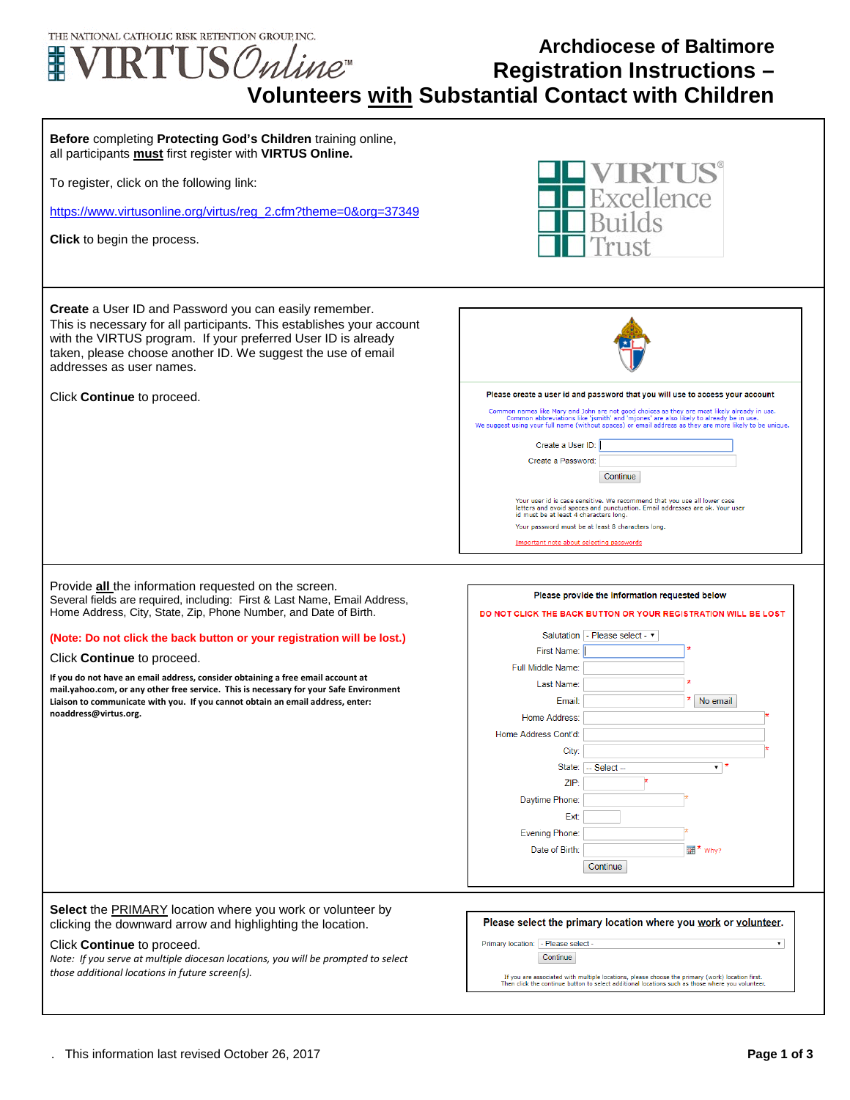

## **Archdiocese of Baltimore Registration Instructions – Volunteers with Substantial Contact with Children**

| Before completing Protecting God's Children training online,<br>all participants must first register with VIRTUS Online.<br>To register, click on the following link:<br>https://www.virtusonline.org/virtus/reg_2.cfm?theme=0&org=37349<br>Click to begin the process.                                                                                                                                                                                                                                                                                                                     | xcellence                                                                                                                                                                                                                                                                                                                                 |
|---------------------------------------------------------------------------------------------------------------------------------------------------------------------------------------------------------------------------------------------------------------------------------------------------------------------------------------------------------------------------------------------------------------------------------------------------------------------------------------------------------------------------------------------------------------------------------------------|-------------------------------------------------------------------------------------------------------------------------------------------------------------------------------------------------------------------------------------------------------------------------------------------------------------------------------------------|
| <b>Create</b> a User ID and Password you can easily remember.<br>This is necessary for all participants. This establishes your account<br>with the VIRTUS program. If your preferred User ID is already<br>taken, please choose another ID. We suggest the use of email<br>addresses as user names.                                                                                                                                                                                                                                                                                         |                                                                                                                                                                                                                                                                                                                                           |
| Click Continue to proceed.                                                                                                                                                                                                                                                                                                                                                                                                                                                                                                                                                                  | Please create a user id and password that you will use to access your account                                                                                                                                                                                                                                                             |
|                                                                                                                                                                                                                                                                                                                                                                                                                                                                                                                                                                                             | Common names like Mary and John are not good choices as they are most likely already in use.<br>Common abbreviations like 'jsmith' and 'mjones' are also likely to already be in use.<br>We suggest using your full name (without spaces) or email address as they are more likely to be unique.                                          |
|                                                                                                                                                                                                                                                                                                                                                                                                                                                                                                                                                                                             | Create a User ID:                                                                                                                                                                                                                                                                                                                         |
|                                                                                                                                                                                                                                                                                                                                                                                                                                                                                                                                                                                             | Create a Password                                                                                                                                                                                                                                                                                                                         |
|                                                                                                                                                                                                                                                                                                                                                                                                                                                                                                                                                                                             | Continue                                                                                                                                                                                                                                                                                                                                  |
|                                                                                                                                                                                                                                                                                                                                                                                                                                                                                                                                                                                             | Your user id is case sensitive. We recommend that you use all lower case<br>letters and avoid spaces and punctuation. Email addresses are ok. Your user                                                                                                                                                                                   |
|                                                                                                                                                                                                                                                                                                                                                                                                                                                                                                                                                                                             | id must be at least 4 characters long.<br>Your password must be at least 8 characters long.                                                                                                                                                                                                                                               |
|                                                                                                                                                                                                                                                                                                                                                                                                                                                                                                                                                                                             | Important note about selecting passwords                                                                                                                                                                                                                                                                                                  |
| Provide <b>all</b> the information requested on the screen.<br>Several fields are required, including: First & Last Name, Email Address,<br>Home Address, City, State, Zip, Phone Number, and Date of Birth.<br>(Note: Do not click the back button or your registration will be lost.)<br>Click <b>Continue</b> to proceed.<br>If you do not have an email address, consider obtaining a free email account at<br>mail.yahoo.com, or any other free service. This is necessary for your Safe Environment<br>Liaison to communicate with you. If you cannot obtain an email address, enter: | Please provide the information requested below<br>DO NOT CLICK THE BACK BUTTON OR YOUR REGISTRATION WILL BE LOST<br>Salutation   - Please select - $\blacktriangledown$<br>First Name:<br>Full Middle Name:<br>Last Name:<br>No email<br>Email:                                                                                           |
| noaddress@virtus.org.                                                                                                                                                                                                                                                                                                                                                                                                                                                                                                                                                                       | Home Address:                                                                                                                                                                                                                                                                                                                             |
|                                                                                                                                                                                                                                                                                                                                                                                                                                                                                                                                                                                             | Home Address Cont'd:                                                                                                                                                                                                                                                                                                                      |
|                                                                                                                                                                                                                                                                                                                                                                                                                                                                                                                                                                                             | City:<br>$\mathbf{v}$ $\mathbf{v}$<br>State:<br>$-$ Select $-$                                                                                                                                                                                                                                                                            |
|                                                                                                                                                                                                                                                                                                                                                                                                                                                                                                                                                                                             | ZIP:                                                                                                                                                                                                                                                                                                                                      |
|                                                                                                                                                                                                                                                                                                                                                                                                                                                                                                                                                                                             | Daytime Phone:                                                                                                                                                                                                                                                                                                                            |
|                                                                                                                                                                                                                                                                                                                                                                                                                                                                                                                                                                                             | Ext:                                                                                                                                                                                                                                                                                                                                      |
|                                                                                                                                                                                                                                                                                                                                                                                                                                                                                                                                                                                             | <b>Evening Phone:</b>                                                                                                                                                                                                                                                                                                                     |
|                                                                                                                                                                                                                                                                                                                                                                                                                                                                                                                                                                                             | Date of Birth:<br><b>IIII</b> <sup>★</sup> Why?<br>Continue                                                                                                                                                                                                                                                                               |
|                                                                                                                                                                                                                                                                                                                                                                                                                                                                                                                                                                                             |                                                                                                                                                                                                                                                                                                                                           |
| Select the PRIMARY location where you work or volunteer by<br>clicking the downward arrow and highlighting the location.<br>Click Continue to proceed.<br>Note: If you serve at multiple diocesan locations, you will be prompted to select<br>those additional locations in future screen(s).                                                                                                                                                                                                                                                                                              | Please select the primary location where you work or volunteer.<br>Primary location: - Please select -<br>$\mathbf{v}$<br>Continue<br>If you are associated with multiple locations, please choose the primary (work) location first.<br>Then click the continue button to select additional locations such as those where you volunteer. |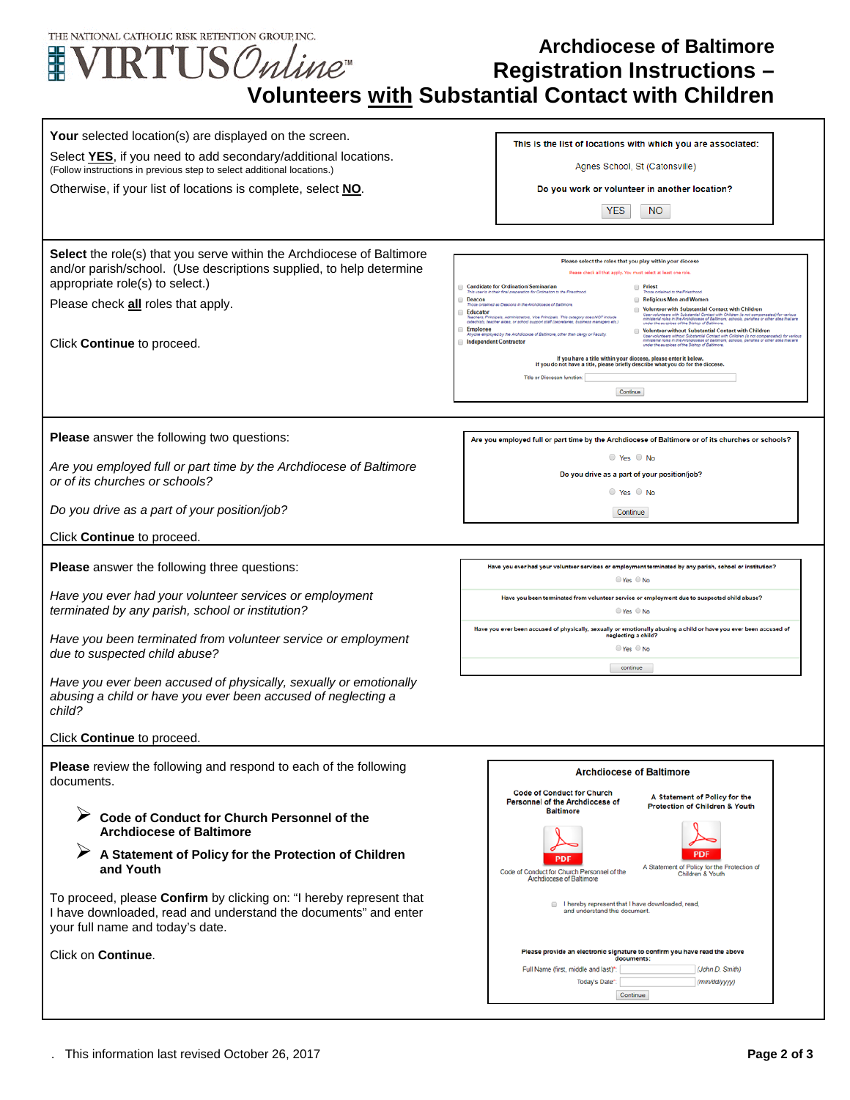| THE NATIONAL CATHOLIC RISK RETENTION GROUP. INC.<br><b>Archdiocese of Baltimore</b><br>$\text{VIRTUS} \mathcal{O}$ nline<br>臦<br><b>Registration Instructions -</b><br><b>Volunteers with Substantial Contact with Children</b>                                    |                                                                                                                                                                                                                                                                                                                                                                                                                                                                                                                                                                                                                                                                                                                                                                                                                                                                                                                                                                                                                                                                                                                                                                                                                                                                                                                                                                                                                                                                                                                                           |  |
|--------------------------------------------------------------------------------------------------------------------------------------------------------------------------------------------------------------------------------------------------------------------|-------------------------------------------------------------------------------------------------------------------------------------------------------------------------------------------------------------------------------------------------------------------------------------------------------------------------------------------------------------------------------------------------------------------------------------------------------------------------------------------------------------------------------------------------------------------------------------------------------------------------------------------------------------------------------------------------------------------------------------------------------------------------------------------------------------------------------------------------------------------------------------------------------------------------------------------------------------------------------------------------------------------------------------------------------------------------------------------------------------------------------------------------------------------------------------------------------------------------------------------------------------------------------------------------------------------------------------------------------------------------------------------------------------------------------------------------------------------------------------------------------------------------------------------|--|
| Your selected location(s) are displayed on the screen.<br>Select YES, if you need to add secondary/additional locations.<br>(Follow instructions in previous step to select additional locations.)<br>Otherwise, if your list of locations is complete, select NO. | This is the list of locations with which you are associated:<br>Agnes School, St (Catonsville)<br>Do you work or volunteer in another location?<br><b>YES</b><br>NO.                                                                                                                                                                                                                                                                                                                                                                                                                                                                                                                                                                                                                                                                                                                                                                                                                                                                                                                                                                                                                                                                                                                                                                                                                                                                                                                                                                      |  |
| <b>Select</b> the role(s) that you serve within the Archdiocese of Baltimore<br>and/or parish/school. (Use descriptions supplied, to help determine<br>appropriate role(s) to select.)<br>Please check all roles that apply.<br>Click <b>Continue</b> to proceed.  | Please select the roles that you play within your diocese<br>Please check all that apply. You must select at least one role<br><b>Candidate for Ordination/Seminarian</b><br><b>Priest</b><br>This user is in their final preparation for Ordination to the Priesthood<br>hose ordained to the Priesthood<br>Religious Men and Women<br>Deacon<br>Those ordained as Deacons in the Archoiccese of Baltimore<br>Volunteer with Substantial Contact with Children<br>Educator<br>User volunteers with Substantial Contact with Children (is not compensated) for various<br>ministerial roles in the Anthelosese of Baltimore; schools, parishes or other sites that are<br>Teachers, Principals, Administrators, Vice Principals. This category does NOT include<br>catechists, teacher aides, or school support staff (secretaries, business managers etc.<br>under the auspices of the Bishop of Baltimore<br>Employee<br>Volunteer without Substantial Contact with Children<br>Inyone employed by the Archdiocese of Baltimore, other than clergy or Faculty<br>Jaer volundeers without Substantial Contact with Children (is not compensated) for various<br>Initiateds roles in the Anthologeae of Ballimore, achools, parishes or other sites that are<br>Inder the auspices of the Blahop of Bal<br><b>Independent Contractor</b><br>If you have a title within your diocese, please enter it below.<br>If you do not have a title, please briefly describe what you do for the diocese<br>Title or Diocesan function:<br>Continue |  |
| Please answer the following two questions:<br>Are you employed full or part time by the Archdiocese of Baltimore<br>or of its churches or schools?<br>Do you drive as a part of your position/job?                                                                 | Are you employed full or part time by the Archdiocese of Baltimore or of its churches or schools?<br>$\circ$ Yes $\circ$ No<br>Do you drive as a part of your position/job?<br>$\circ$ Yes $\circ$ No                                                                                                                                                                                                                                                                                                                                                                                                                                                                                                                                                                                                                                                                                                                                                                                                                                                                                                                                                                                                                                                                                                                                                                                                                                                                                                                                     |  |
| Click <b>Continue</b> to proceed.                                                                                                                                                                                                                                  | Continue                                                                                                                                                                                                                                                                                                                                                                                                                                                                                                                                                                                                                                                                                                                                                                                                                                                                                                                                                                                                                                                                                                                                                                                                                                                                                                                                                                                                                                                                                                                                  |  |
|                                                                                                                                                                                                                                                                    | Have you ever had your volunteer services or employment terminated by any parish, school or institution?                                                                                                                                                                                                                                                                                                                                                                                                                                                                                                                                                                                                                                                                                                                                                                                                                                                                                                                                                                                                                                                                                                                                                                                                                                                                                                                                                                                                                                  |  |
| <b>Please</b> answer the following three questions:<br>Have you ever had your volunteer services or employment<br>terminated by any parish, school or institution?                                                                                                 | $\odot$ Yes $\odot$ No<br>Have you been terminated from volunteer service or employment due to suspected child abuse?<br>$\bullet$ Yes $\circ$ No                                                                                                                                                                                                                                                                                                                                                                                                                                                                                                                                                                                                                                                                                                                                                                                                                                                                                                                                                                                                                                                                                                                                                                                                                                                                                                                                                                                         |  |
| Have you been terminated from volunteer service or employment<br>due to suspected child abuse?                                                                                                                                                                     | Have you ever been accused of physically, sexually or emotionally abusing a child or have you ever been accused of<br>neglecting a child?<br>© Yes © No<br>continue                                                                                                                                                                                                                                                                                                                                                                                                                                                                                                                                                                                                                                                                                                                                                                                                                                                                                                                                                                                                                                                                                                                                                                                                                                                                                                                                                                       |  |
| Have you ever been accused of physically, sexually or emotionally<br>abusing a child or have you ever been accused of neglecting a<br>child?                                                                                                                       |                                                                                                                                                                                                                                                                                                                                                                                                                                                                                                                                                                                                                                                                                                                                                                                                                                                                                                                                                                                                                                                                                                                                                                                                                                                                                                                                                                                                                                                                                                                                           |  |
| Click Continue to proceed.                                                                                                                                                                                                                                         |                                                                                                                                                                                                                                                                                                                                                                                                                                                                                                                                                                                                                                                                                                                                                                                                                                                                                                                                                                                                                                                                                                                                                                                                                                                                                                                                                                                                                                                                                                                                           |  |
| Please review the following and respond to each of the following<br>documents.                                                                                                                                                                                     | <b>Archdiocese of Baltimore</b><br><b>Code of Conduct for Church</b><br>A Statement of Policy for the<br>Personnel of the Archdiocese of<br>Protection of Children & Youth<br><b>Baltimore</b>                                                                                                                                                                                                                                                                                                                                                                                                                                                                                                                                                                                                                                                                                                                                                                                                                                                                                                                                                                                                                                                                                                                                                                                                                                                                                                                                            |  |
| Code of Conduct for Church Personnel of the<br><b>Archdiocese of Baltimore</b>                                                                                                                                                                                     |                                                                                                                                                                                                                                                                                                                                                                                                                                                                                                                                                                                                                                                                                                                                                                                                                                                                                                                                                                                                                                                                                                                                                                                                                                                                                                                                                                                                                                                                                                                                           |  |
| A Statement of Policy for the Protection of Children<br>and Youth                                                                                                                                                                                                  | A Statement of Policy for the Protection of<br>Code of Conduct for Church Personnel of the<br>Children & Youth<br>Archdiocese of Baltimore                                                                                                                                                                                                                                                                                                                                                                                                                                                                                                                                                                                                                                                                                                                                                                                                                                                                                                                                                                                                                                                                                                                                                                                                                                                                                                                                                                                                |  |
| To proceed, please Confirm by clicking on: "I hereby represent that<br>I have downloaded, read and understand the documents" and enter<br>your full name and today's date.                                                                                         | I hereby represent that I have downloaded, read,<br>and understand this document.                                                                                                                                                                                                                                                                                                                                                                                                                                                                                                                                                                                                                                                                                                                                                                                                                                                                                                                                                                                                                                                                                                                                                                                                                                                                                                                                                                                                                                                         |  |
| Click on Continue.                                                                                                                                                                                                                                                 | Please provide an electronic signature to confirm you have read the above<br>documents:<br>Full Name (first, middle and last)*<br>(John D. Smith)<br>Today's Date*<br>(mm/dd/yyyy)<br>Continue                                                                                                                                                                                                                                                                                                                                                                                                                                                                                                                                                                                                                                                                                                                                                                                                                                                                                                                                                                                                                                                                                                                                                                                                                                                                                                                                            |  |